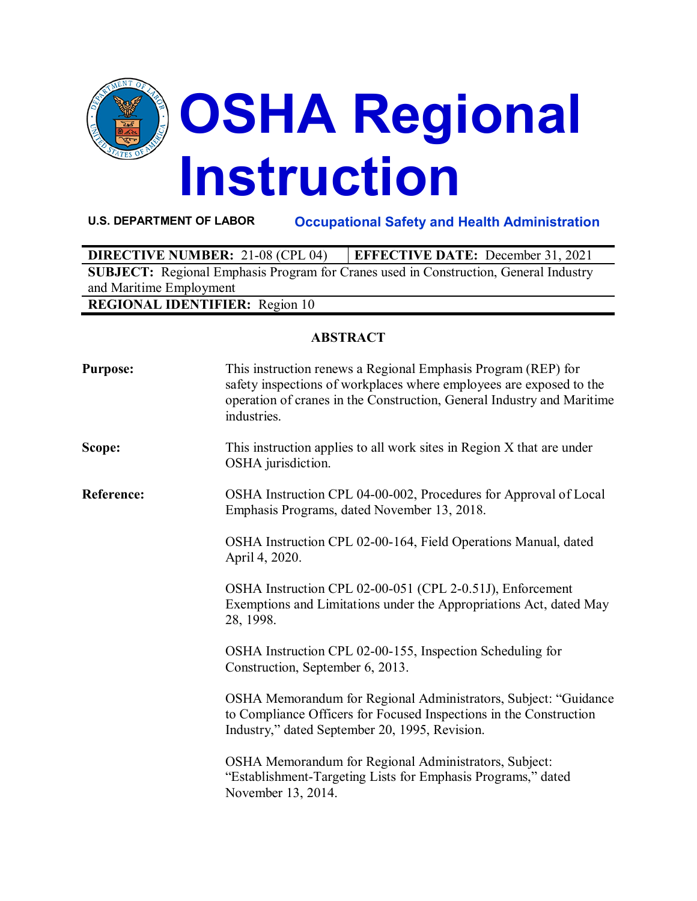

**U.S. DEPARTMENT OF LABOR Occupational Safety and Health Administration**

| <b>DIRECTIVE NUMBER: 21-08 (CPL 04)</b>                                                     | <b>EFFECTIVE DATE:</b> December 31, 2021 |  |
|---------------------------------------------------------------------------------------------|------------------------------------------|--|
| <b>SUBJECT:</b> Regional Emphasis Program for Cranes used in Construction, General Industry |                                          |  |
| and Maritime Employment                                                                     |                                          |  |
| <b>REGIONAL IDENTIFIER:</b> Region 10                                                       |                                          |  |

## **ABSTRACT**

| <b>Purpose:</b>   | This instruction renews a Regional Emphasis Program (REP) for<br>safety inspections of workplaces where employees are exposed to the<br>operation of cranes in the Construction, General Industry and Maritime<br>industries. |
|-------------------|-------------------------------------------------------------------------------------------------------------------------------------------------------------------------------------------------------------------------------|
| Scope:            | This instruction applies to all work sites in Region X that are under<br>OSHA jurisdiction.                                                                                                                                   |
| <b>Reference:</b> | OSHA Instruction CPL 04-00-002, Procedures for Approval of Local<br>Emphasis Programs, dated November 13, 2018.                                                                                                               |
|                   | OSHA Instruction CPL 02-00-164, Field Operations Manual, dated<br>April 4, 2020.                                                                                                                                              |
|                   | OSHA Instruction CPL 02-00-051 (CPL 2-0.51J), Enforcement<br>Exemptions and Limitations under the Appropriations Act, dated May<br>28, 1998.                                                                                  |
|                   | OSHA Instruction CPL 02-00-155, Inspection Scheduling for<br>Construction, September 6, 2013.                                                                                                                                 |
|                   | OSHA Memorandum for Regional Administrators, Subject: "Guidance<br>to Compliance Officers for Focused Inspections in the Construction<br>Industry," dated September 20, 1995, Revision.                                       |
|                   | OSHA Memorandum for Regional Administrators, Subject:<br>"Establishment-Targeting Lists for Emphasis Programs," dated<br>November 13, 2014.                                                                                   |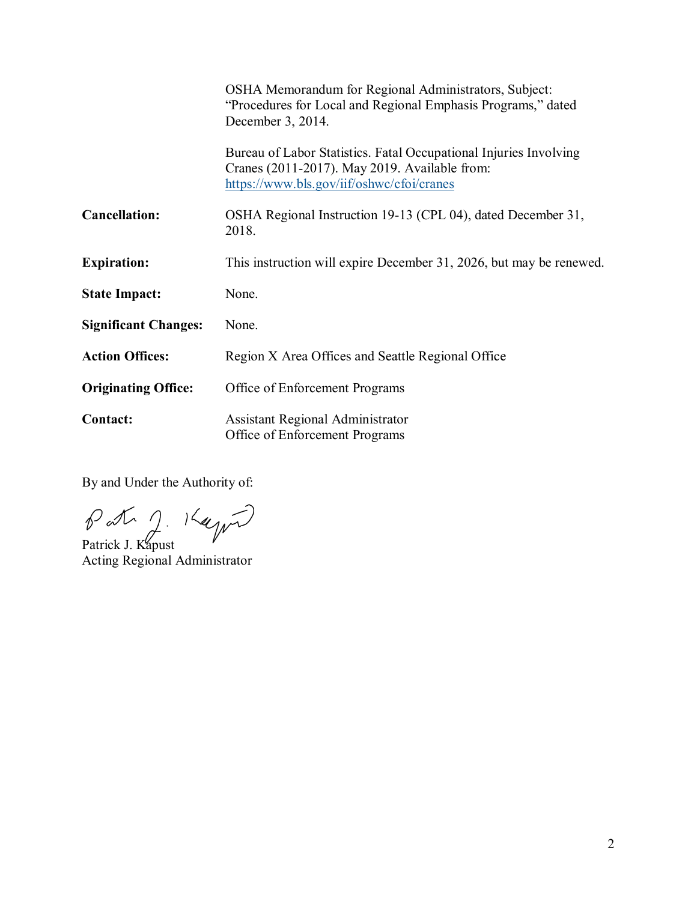|                             | OSHA Memorandum for Regional Administrators, Subject:<br>"Procedures for Local and Regional Emphasis Programs," dated<br>December 3, 2014.                      |
|-----------------------------|-----------------------------------------------------------------------------------------------------------------------------------------------------------------|
|                             | Bureau of Labor Statistics. Fatal Occupational Injuries Involving<br>Cranes (2011-2017). May 2019. Available from:<br>https://www.bls.gov/iif/oshwc/cfoi/cranes |
| <b>Cancellation:</b>        | OSHA Regional Instruction 19-13 (CPL 04), dated December 31,<br>2018.                                                                                           |
| <b>Expiration:</b>          | This instruction will expire December 31, 2026, but may be renewed.                                                                                             |
| <b>State Impact:</b>        | None.                                                                                                                                                           |
| <b>Significant Changes:</b> | None.                                                                                                                                                           |
| <b>Action Offices:</b>      | Region X Area Offices and Seattle Regional Office                                                                                                               |
| <b>Originating Office:</b>  | Office of Enforcement Programs                                                                                                                                  |
| <b>Contact:</b>             | <b>Assistant Regional Administrator</b><br>Office of Enforcement Programs                                                                                       |

By and Under the Authority of:

Patrick J. Kapust

Acting Regional Administrator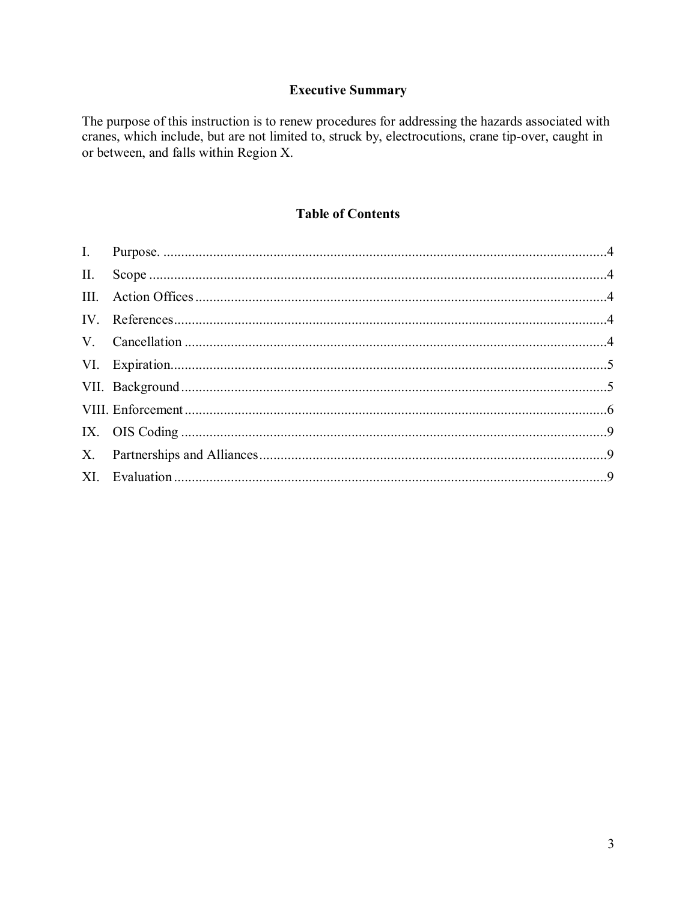# **Executive Summary**

The purpose of this instruction is to renew procedures for addressing the hazards associated with cranes, which include, but are not limited to, struck by, electrocutions, crane tip-over, caught in or between, and falls within Region X.

## **Table of Contents**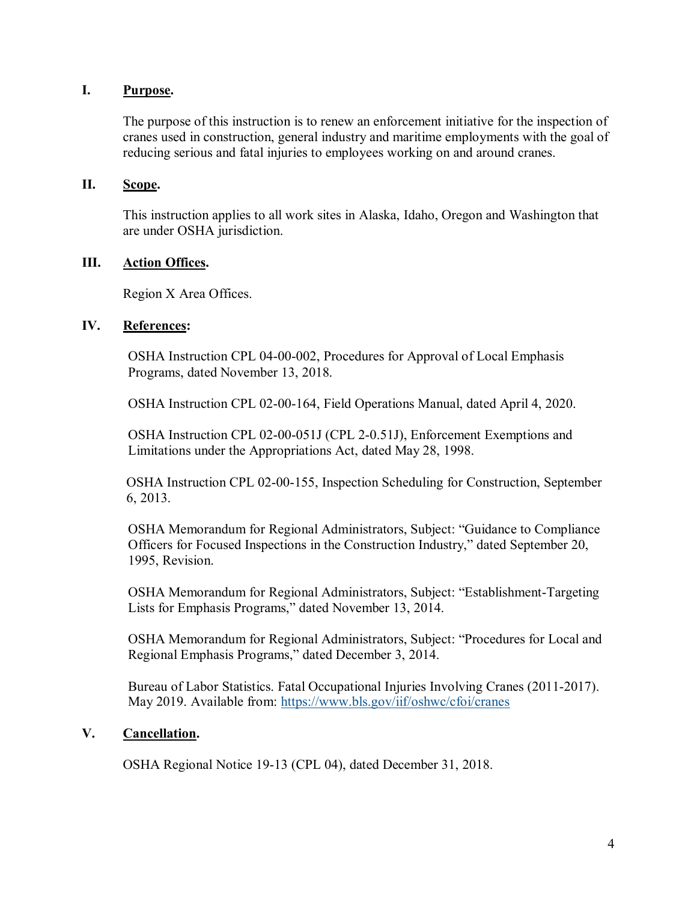### <span id="page-3-0"></span>**I. Purpose.**

The purpose of this instruction is to renew an enforcement initiative for the inspection of cranes used in construction, general industry and maritime employments with the goal of reducing serious and fatal injuries to employees working on and around cranes.

### <span id="page-3-1"></span>**II. Scope.**

This instruction applies to all work sites in Alaska, Idaho, Oregon and Washington that are under OSHA jurisdiction.

### <span id="page-3-2"></span>**III. Action Offices.**

Region X Area Offices.

### <span id="page-3-3"></span>**IV. References:**

OSHA Instruction CPL 04-00-002, Procedures for Approval of Local Emphasis Programs, dated November 13, 2018.

OSHA Instruction CPL 02-00-164, Field Operations Manual, dated April 4, 2020.

OSHA Instruction CPL 02-00-051J (CPL 2-0.51J), Enforcement Exemptions and Limitations under the Appropriations Act, dated May 28, 1998.

OSHA Instruction CPL 02-00-155, Inspection Scheduling for Construction, September 6, 2013.

OSHA Memorandum for Regional Administrators, Subject: "Guidance to Compliance Officers for Focused Inspections in the Construction Industry," dated September 20, 1995, Revision.

OSHA Memorandum for Regional Administrators, Subject: "Establishment-Targeting Lists for Emphasis Programs," dated November 13, 2014.

OSHA Memorandum for Regional Administrators, Subject: "Procedures for Local and Regional Emphasis Programs," dated December 3, 2014.

Bureau of Labor Statistics. Fatal Occupational Injuries Involving Cranes (2011-2017). May 2019. Available from: https://www.bls.gov/iif/oshwc/cfoi/cranes

## <span id="page-3-4"></span>**V. Cancellation.**

OSHA Regional Notice 19-13 (CPL 04), dated December 31, 2018.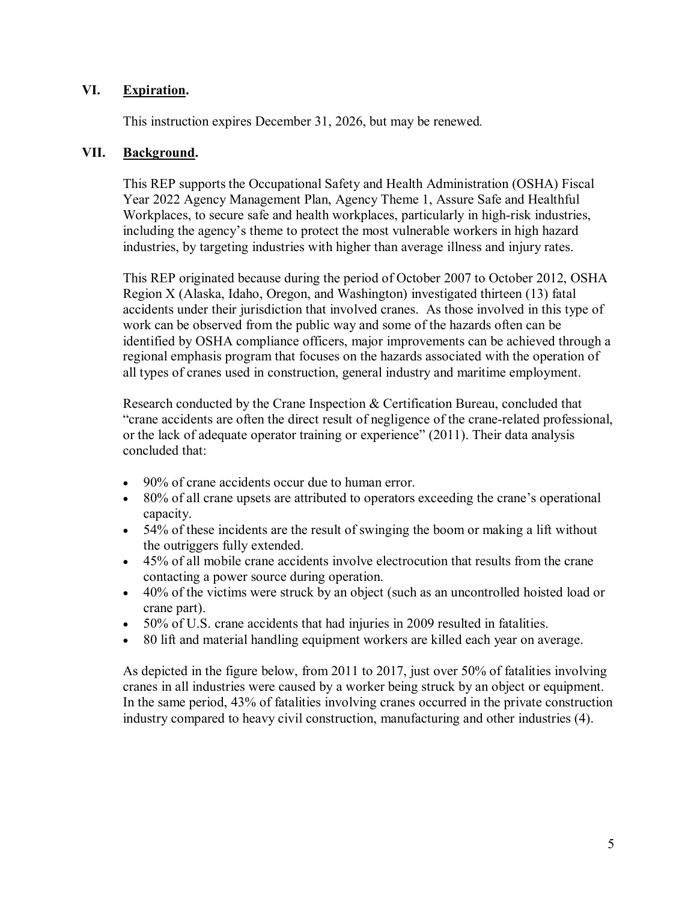### <span id="page-4-0"></span>**VI. Expiration.**

This instruction expires December 31, 2026, but may be renewed*.* 

### <span id="page-4-1"></span>**VII. Background.**

This REP supports the Occupational Safety and Health Administration (OSHA) Fiscal Year 2022 Agency Management Plan, Agency Theme 1, Assure Safe and Healthful Workplaces, to secure safe and health workplaces, particularly in high-risk industries, including the agency's theme to protect the most vulnerable workers in high hazard industries, by targeting industries with higher than average illness and injury rates.

This REP originated because during the period of October 2007 to October 2012, OSHA Region X (Alaska, Idaho, Oregon, and Washington) investigated thirteen (13) fatal accidents under their jurisdiction that involved cranes. As those involved in this type of work can be observed from the public way and some of the hazards often can be identified by OSHA compliance officers, major improvements can be achieved through a regional emphasis program that focuses on the hazards associated with the operation of all types of cranes used in construction, general industry and maritime employment.

Research conducted by the Crane Inspection & Certification Bureau, concluded that "crane accidents are often the direct result of negligence of the crane-related professional, or the lack of adequate operator training or experience" (2011). Their data analysis concluded that:

- 90% of crane accidents occur due to human error.
- 80% of all crane upsets are attributed to operators exceeding the crane's operational capacity.
- 54% of these incidents are the result of swinging the boom or making a lift without the outriggers fully extended.
- 45% of all mobile crane accidents involve electrocution that results from the crane contacting a power source during operation.
- 40% of the victims were struck by an object (such as an uncontrolled hoisted load or crane part).
- 50% of U.S. crane accidents that had injuries in 2009 resulted in fatalities.
- 80 lift and material handling equipment workers are killed each year on average.

As depicted in the figure below, from 2011 to 2017, just over 50% of fatalities involving cranes in all industries were caused by a worker being struck by an object or equipment. In the same period, 43% of fatalities involving cranes occurred in the private construction industry compared to heavy civil construction, manufacturing and other industries (4).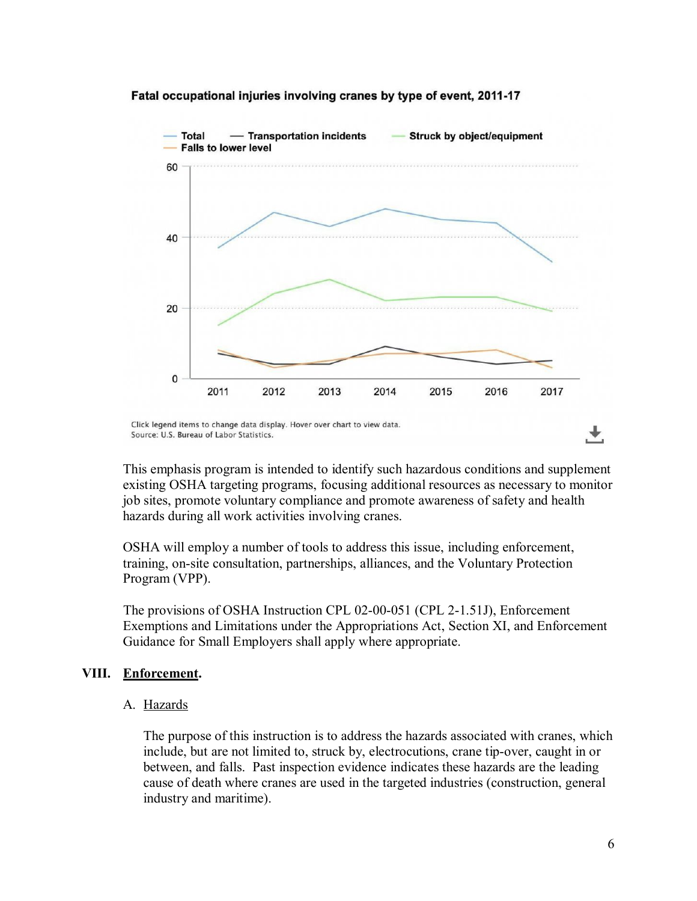

#### Fatal occupational injuries involving cranes by type of event, 2011-17

This emphasis program is intended to identify such hazardous conditions and supplement existing OSHA targeting programs, focusing additional resources as necessary to monitor job sites, promote voluntary compliance and promote awareness of safety and health hazards during all work activities involving cranes.

OSHA will employ a number of tools to address this issue, including enforcement, training, on-site consultation, partnerships, alliances, and the Voluntary Protection Program (VPP).

The provisions of OSHA Instruction CPL 02-00-051 (CPL 2-1.51J), Enforcement Exemptions and Limitations under the Appropriations Act, Section XI, and Enforcement Guidance for Small Employers shall apply where appropriate.

### <span id="page-5-0"></span>**VIII. Enforcement.**

### A. Hazards

The purpose of this instruction is to address the hazards associated with cranes, which include, but are not limited to, struck by, electrocutions, crane tip-over, caught in or between, and falls. Past inspection evidence indicates these hazards are the leading cause of death where cranes are used in the targeted industries (construction, general industry and maritime).

Click legend items to change data display. Hover over chart to view data. Source: U.S. Bureau of Labor Statistics.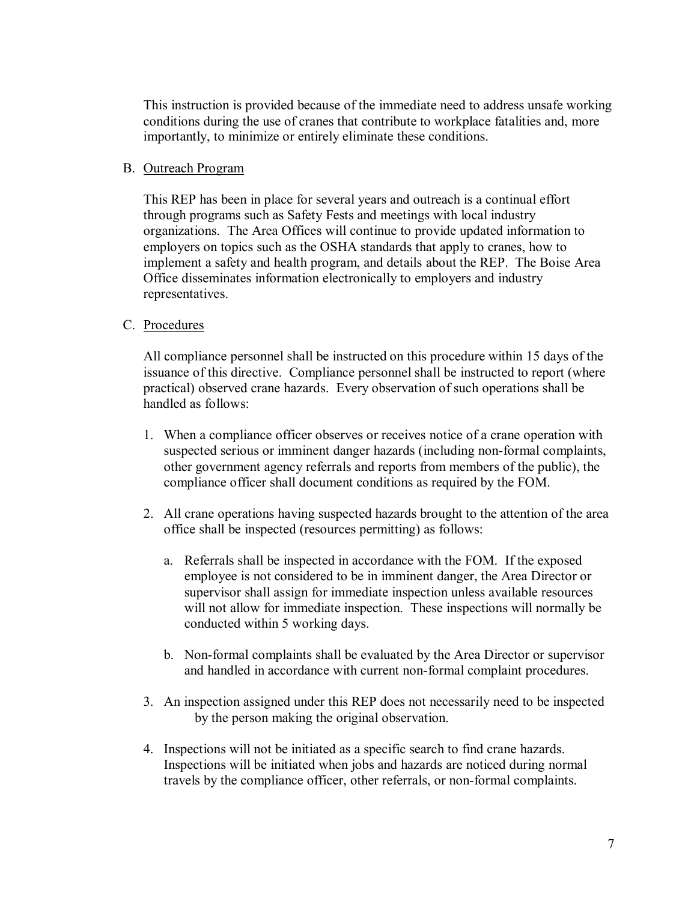This instruction is provided because of the immediate need to address unsafe working conditions during the use of cranes that contribute to workplace fatalities and, more importantly, to minimize or entirely eliminate these conditions.

### B. Outreach Program

This REP has been in place for several years and outreach is a continual effort through programs such as Safety Fests and meetings with local industry organizations. The Area Offices will continue to provide updated information to employers on topics such as the OSHA standards that apply to cranes, how to implement a safety and health program, and details about the REP. The Boise Area Office disseminates information electronically to employers and industry representatives.

### C. Procedures

All compliance personnel shall be instructed on this procedure within 15 days of the issuance of this directive. Compliance personnel shall be instructed to report (where practical) observed crane hazards. Every observation of such operations shall be handled as follows:

- 1. When a compliance officer observes or receives notice of a crane operation with suspected serious or imminent danger hazards (including non-formal complaints, other government agency referrals and reports from members of the public), the compliance officer shall document conditions as required by the FOM.
- 2. All crane operations having suspected hazards brought to the attention of the area office shall be inspected (resources permitting) as follows:
	- a. Referrals shall be inspected in accordance with the FOM. If the exposed employee is not considered to be in imminent danger, the Area Director or supervisor shall assign for immediate inspection unless available resources will not allow for immediate inspection. These inspections will normally be conducted within 5 working days.
	- b. Non-formal complaints shall be evaluated by the Area Director or supervisor and handled in accordance with current non-formal complaint procedures.
- 3. An inspection assigned under this REP does not necessarily need to be inspected by the person making the original observation.
- 4. Inspections will not be initiated as a specific search to find crane hazards. Inspections will be initiated when jobs and hazards are noticed during normal travels by the compliance officer, other referrals, or non-formal complaints.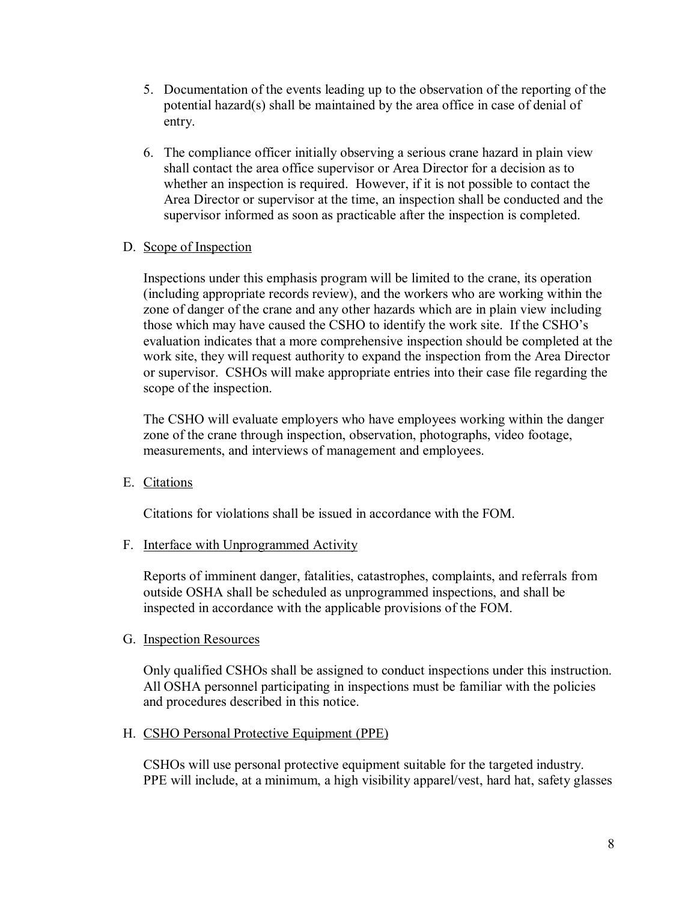- 5. Documentation of the events leading up to the observation of the reporting of the potential hazard(s) shall be maintained by the area office in case of denial of entry.
- 6. The compliance officer initially observing a serious crane hazard in plain view shall contact the area office supervisor or Area Director for a decision as to whether an inspection is required. However, if it is not possible to contact the Area Director or supervisor at the time, an inspection shall be conducted and the supervisor informed as soon as practicable after the inspection is completed.

### D. Scope of Inspection

Inspections under this emphasis program will be limited to the crane, its operation (including appropriate records review), and the workers who are working within the zone of danger of the crane and any other hazards which are in plain view including those which may have caused the CSHO to identify the work site. If the CSHO's evaluation indicates that a more comprehensive inspection should be completed at the work site, they will request authority to expand the inspection from the Area Director or supervisor. CSHOs will make appropriate entries into their case file regarding the scope of the inspection.

The CSHO will evaluate employers who have employees working within the danger zone of the crane through inspection, observation, photographs, video footage, measurements, and interviews of management and employees.

E. Citations

Citations for violations shall be issued in accordance with the FOM.

F. Interface with Unprogrammed Activity

Reports of imminent danger, fatalities, catastrophes, complaints, and referrals from outside OSHA shall be scheduled as unprogrammed inspections, and shall be inspected in accordance with the applicable provisions of the FOM.

G. Inspection Resources

Only qualified CSHOs shall be assigned to conduct inspections under this instruction. All OSHA personnel participating in inspections must be familiar with the policies and procedures described in this notice.

### H. CSHO Personal Protective Equipment (PPE)

CSHOs will use personal protective equipment suitable for the targeted industry. PPE will include, at a minimum, a high visibility apparel/vest, hard hat, safety glasses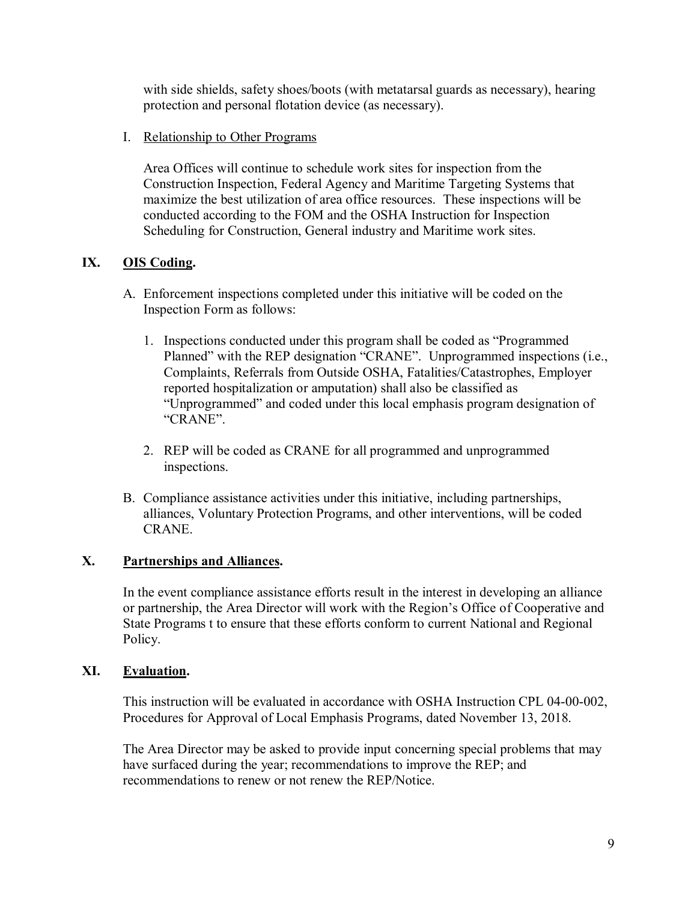with side shields, safety shoes/boots (with metatarsal guards as necessary), hearing protection and personal flotation device (as necessary).

I. Relationship to Other Programs

Area Offices will continue to schedule work sites for inspection from the Construction Inspection, Federal Agency and Maritime Targeting Systems that maximize the best utilization of area office resources. These inspections will be conducted according to the FOM and the OSHA Instruction for Inspection Scheduling for Construction, General industry and Maritime work sites.

# <span id="page-8-0"></span>**IX. OIS Coding.**

- A. Enforcement inspections completed under this initiative will be coded on the Inspection Form as follows:
	- 1. Inspections conducted under this program shall be coded as "Programmed Planned" with the REP designation "CRANE". Unprogrammed inspections (i.e., Complaints, Referrals from Outside OSHA, Fatalities/Catastrophes, Employer reported hospitalization or amputation) shall also be classified as "Unprogrammed" and coded under this local emphasis program designation of "CRANE".
	- 2. REP will be coded as CRANE for all programmed and unprogrammed inspections.
- B. Compliance assistance activities under this initiative, including partnerships, alliances, Voluntary Protection Programs, and other interventions, will be coded CRANE.

## <span id="page-8-1"></span>**X. Partnerships and Alliances.**

In the event compliance assistance efforts result in the interest in developing an alliance or partnership, the Area Director will work with the Region's Office of Cooperative and State Programs t to ensure that these efforts conform to current National and Regional Policy.

## <span id="page-8-2"></span>**XI. Evaluation.**

This instruction will be evaluated in accordance with OSHA Instruction CPL 04-00-002, Procedures for Approval of Local Emphasis Programs, dated November 13, 2018.

The Area Director may be asked to provide input concerning special problems that may have surfaced during the year; recommendations to improve the REP; and recommendations to renew or not renew the REP/Notice.